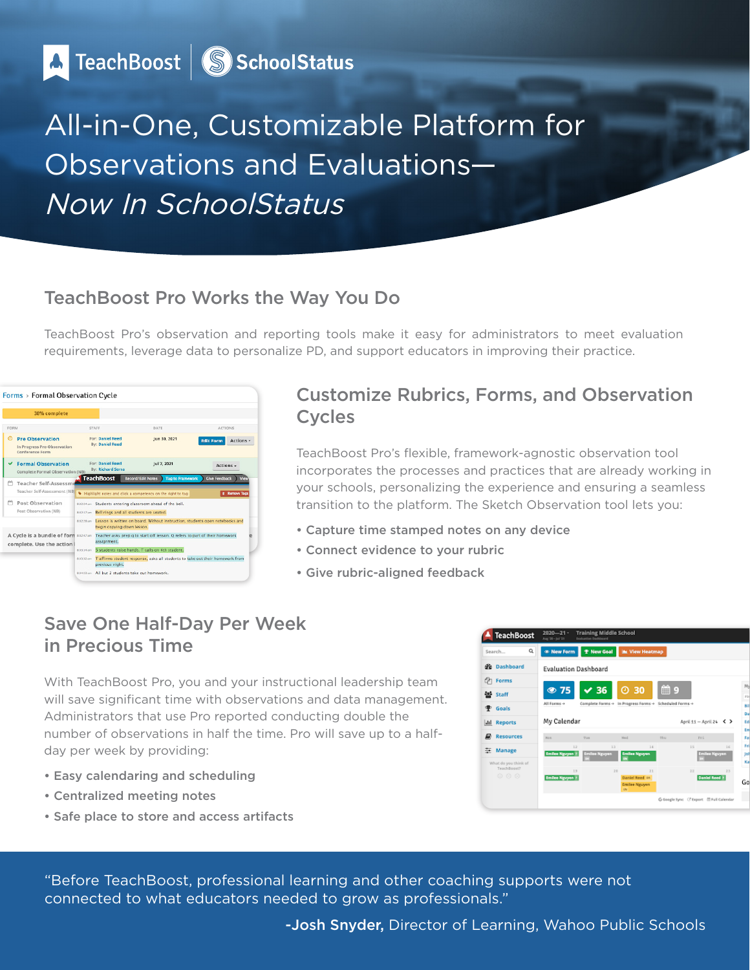A TeachBoost | S SchoolStatus

# All-in-One, Customizable Platform for Observations and Evaluations— Now In SchoolStatus

#### TeachBoost Pro Works the Way You Do

TeachBoost Pro's observation and reporting tools make it easy for administrators to meet evaluation requirements, leverage data to personalize PD, and support educators in improving their practice.



#### Customize Rubrics, Forms, and Observation Cycles

TeachBoost Pro's flexible, framework-agnostic observation tool incorporates the processes and practices that are already working in your schools, personalizing the experience and ensuring a seamless transition to the platform. The Sketch Observation tool lets you:

- Capture time stamped notes on any device
- Connect evidence to your rubric
- Give rubric-aligned feedback

### Save One Half-Day Per Week in Precious Time

With TeachBoost Pro, you and your instructional leadership team will save significant time with observations and data management. Administrators that use Pro reported conducting double the number of observations in half the time. Pro will save up to a halfday per week by providing:

- Easy calendaring and scheduling
- Centralized meeting notes
- Safe place to store and access artifacts



"Before TeachBoost, professional learning and other coaching supports were not connected to what educators needed to grow as professionals."

-Josh Snyder, Director of Learning, Wahoo Public Schools